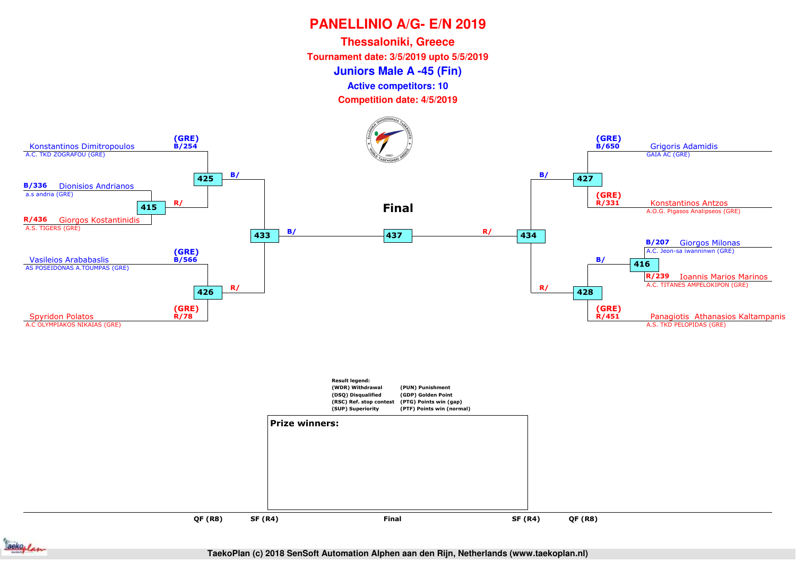**Juniors Male A -45 (Fin)Thessaloniki, Greece Tournament date: 3/5/2019 upto 5/5/2019Competition date: 4/5/2019 Active competitors: 10**





**TaekoPlan (c) 2018 SenSoft Automation Alphen aan den Rijn, Netherlands (www.taekoplan.nl)**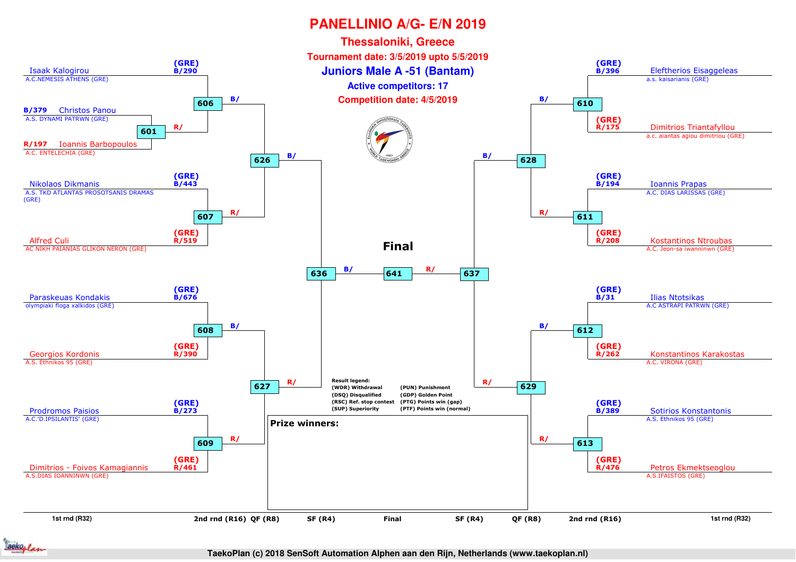

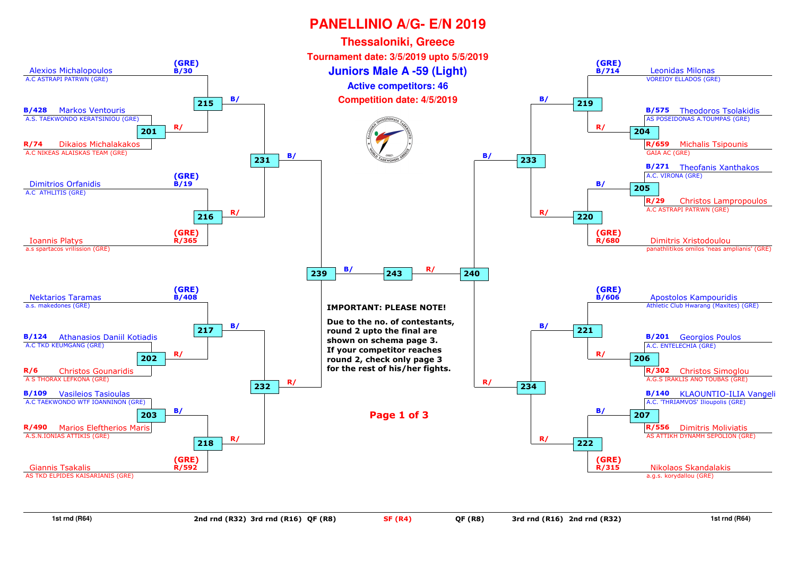

**1st rnd (R64)**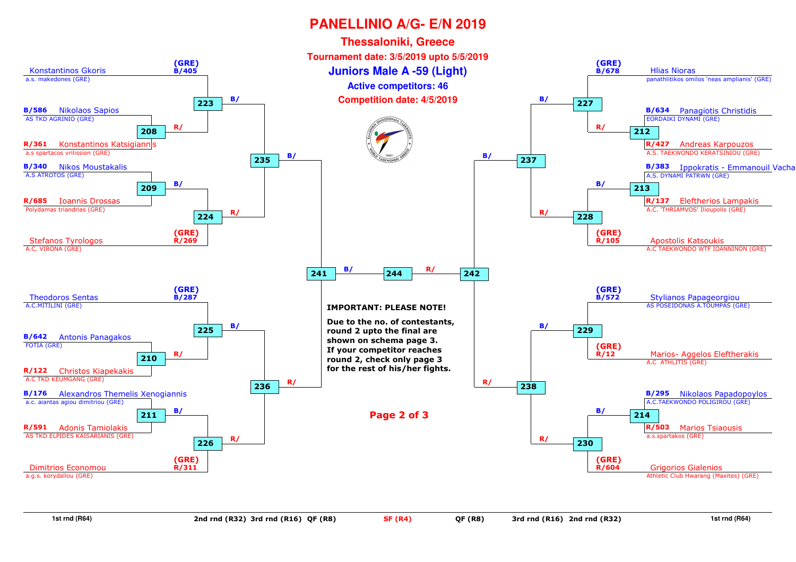

**1st rnd (R64)**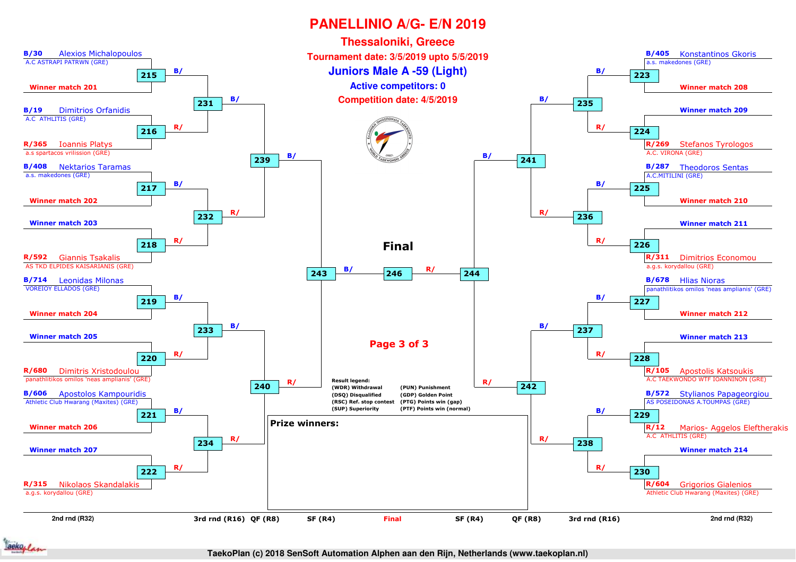

**TaekoPlan (c) 2018 SenSoft Automation Alphen aan den Rijn, Netherlands (www.taekoplan.nl)**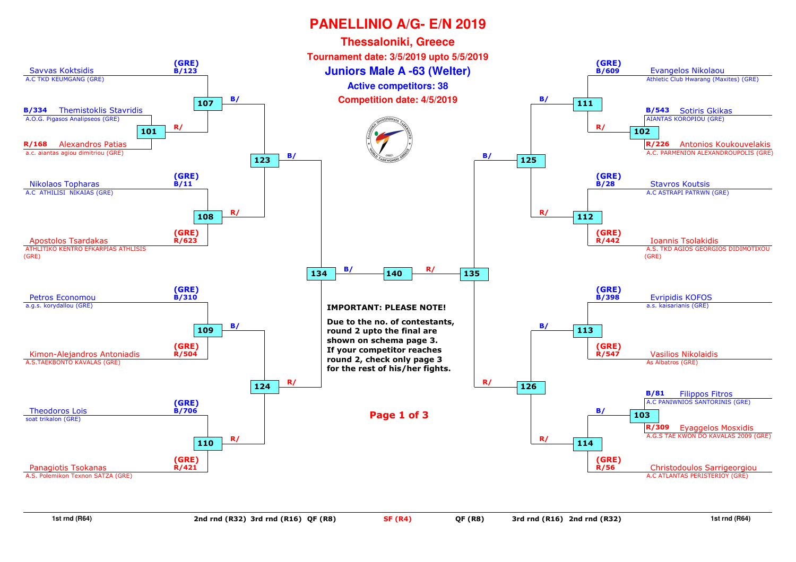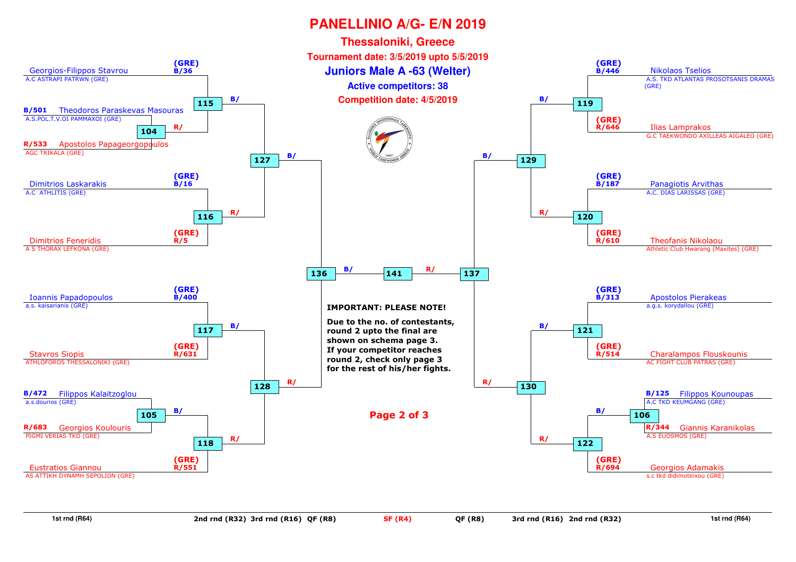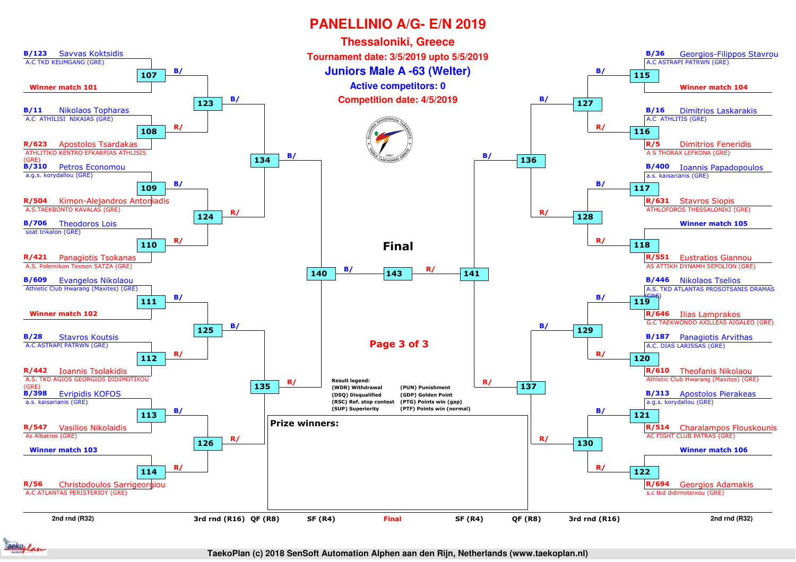

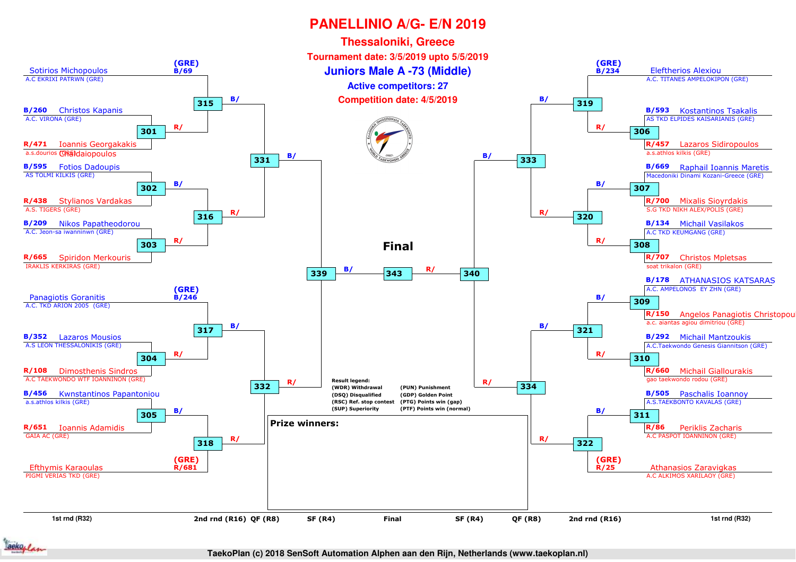

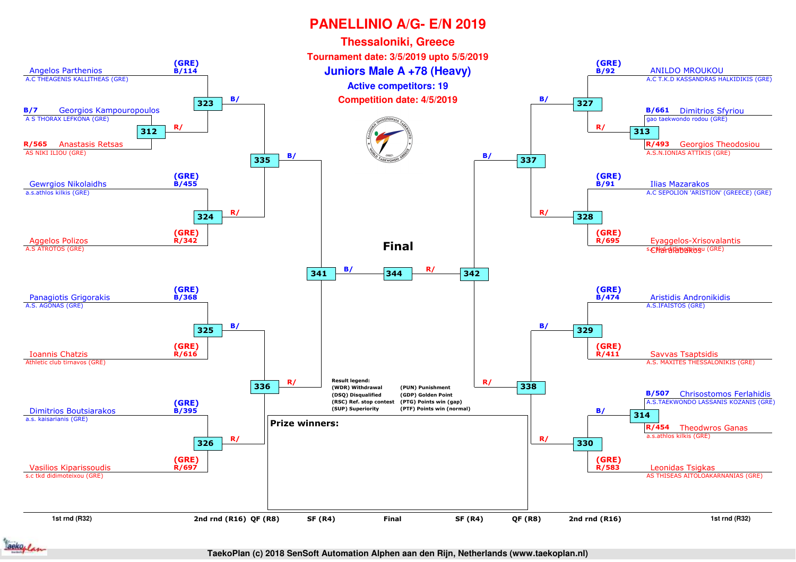

**TaekoPlan (c) 2018 SenSoft Automation Alphen aan den Rijn, Netherlands (www.taekoplan.nl)**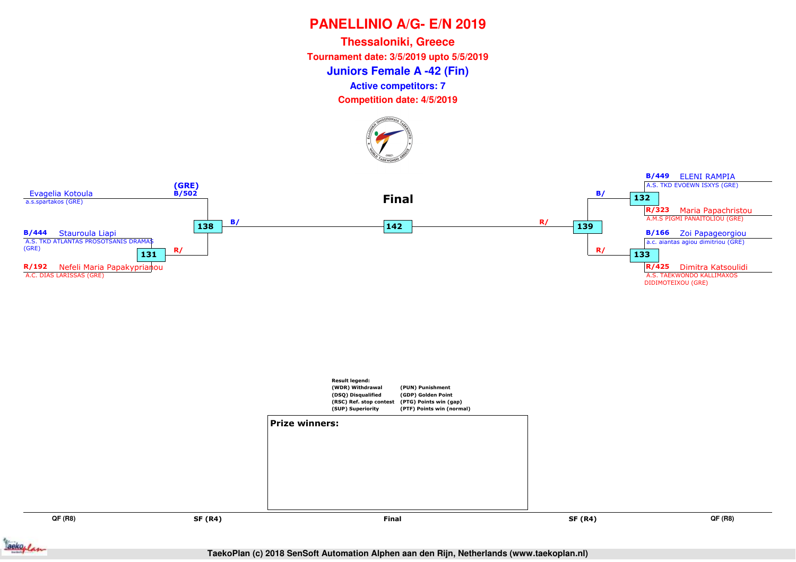**Juniors Female A -42 (Fin)Thessaloniki, Greece Tournament date: 3/5/2019 upto 5/5/2019Active competitors: 7**

**Competition date: 4/5/2019**







**QF (R8)**

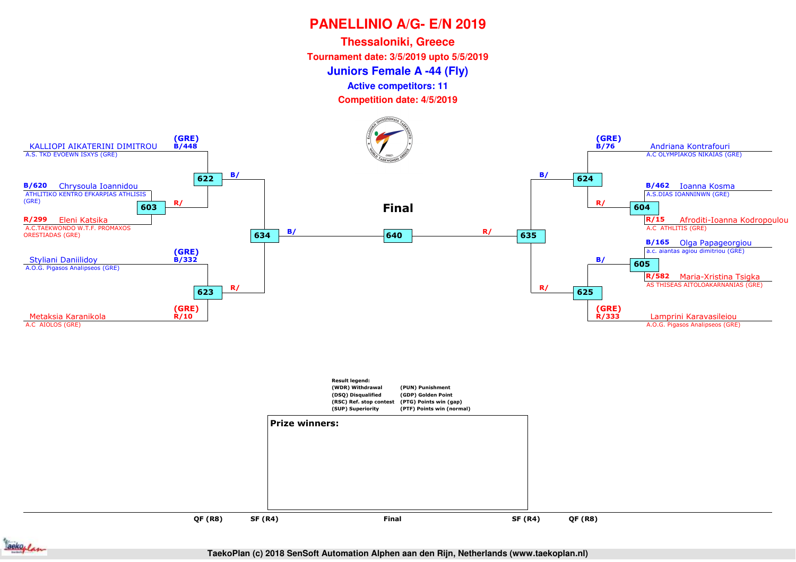**Juniors Female A -44 (Fly)Thessaloniki, GreeceTournament date: 3/5/2019 upto 5/5/2019**

**Active competitors: 11**

**Competition date: 4/5/2019**



**QF (R8)**

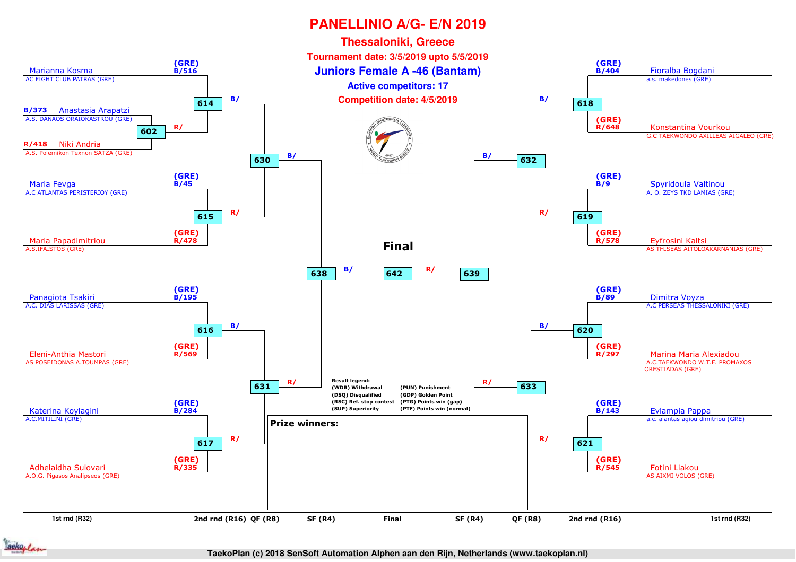

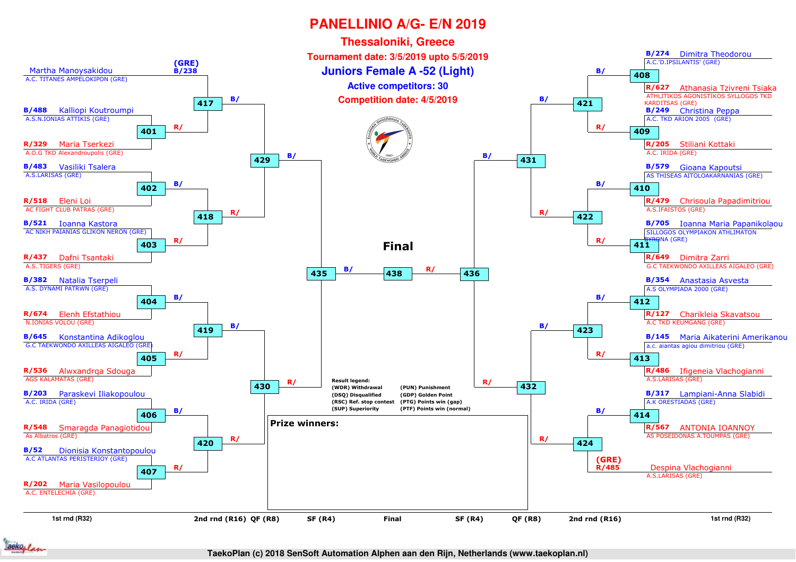

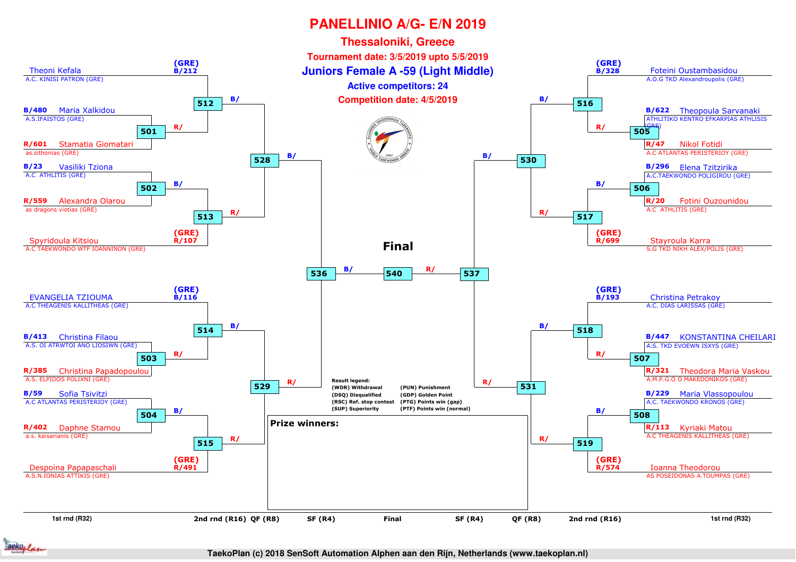